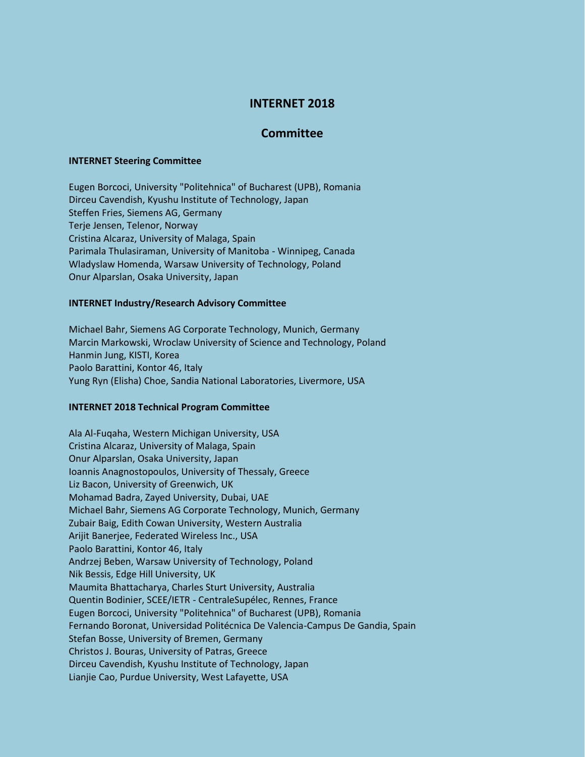# **INTERNET 2018**

## **Committee**

### **INTERNET Steering Committee**

Eugen Borcoci, University "Politehnica" of Bucharest (UPB), Romania Dirceu Cavendish, Kyushu Institute of Technology, Japan Steffen Fries, Siemens AG, Germany Terje Jensen, Telenor, Norway Cristina Alcaraz, University of Malaga, Spain Parimala Thulasiraman, University of Manitoba - Winnipeg, Canada Wladyslaw Homenda, Warsaw University of Technology, Poland Onur Alparslan, Osaka University, Japan

#### **INTERNET Industry/Research Advisory Committee**

Michael Bahr, Siemens AG Corporate Technology, Munich, Germany Marcin Markowski, Wroclaw University of Science and Technology, Poland Hanmin Jung, KISTI, Korea Paolo Barattini, Kontor 46, Italy Yung Ryn (Elisha) Choe, Sandia National Laboratories, Livermore, USA

### **INTERNET 2018 Technical Program Committee**

Ala Al-Fuqaha, Western Michigan University, USA Cristina Alcaraz, University of Malaga, Spain Onur Alparslan, Osaka University, Japan Ioannis Anagnostopoulos, University of Thessaly, Greece Liz Bacon, University of Greenwich, UK Mohamad Badra, Zayed University, Dubai, UAE Michael Bahr, Siemens AG Corporate Technology, Munich, Germany Zubair Baig, Edith Cowan University, Western Australia Arijit Banerjee, Federated Wireless Inc., USA Paolo Barattini, Kontor 46, Italy Andrzej Beben, Warsaw University of Technology, Poland Nik Bessis, Edge Hill University, UK Maumita Bhattacharya, Charles Sturt University, Australia Quentin Bodinier, SCEE/IETR - CentraleSupélec, Rennes, France Eugen Borcoci, University "Politehnica" of Bucharest (UPB), Romania Fernando Boronat, Universidad Politécnica De Valencia-Campus De Gandia, Spain Stefan Bosse, University of Bremen, Germany Christos J. Bouras, University of Patras, Greece Dirceu Cavendish, Kyushu Institute of Technology, Japan Lianjie Cao, Purdue University, West Lafayette, USA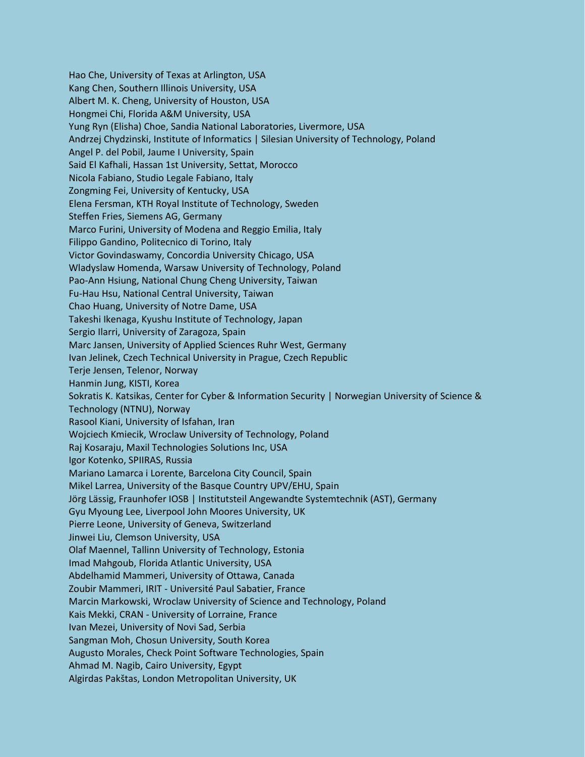Hao Che, University of Texas at Arlington, USA Kang Chen, Southern Illinois University, USA Albert M. K. Cheng, University of Houston, USA Hongmei Chi, Florida A&M University, USA Yung Ryn (Elisha) Choe, Sandia National Laboratories, Livermore, USA Andrzej Chydzinski, Institute of Informatics | Silesian University of Technology, Poland Angel P. del Pobil, Jaume I University, Spain Said El Kafhali, Hassan 1st University, Settat, Morocco Nicola Fabiano, Studio Legale Fabiano, Italy Zongming Fei, University of Kentucky, USA Elena Fersman, KTH Royal Institute of Technology, Sweden Steffen Fries, Siemens AG, Germany Marco Furini, University of Modena and Reggio Emilia, Italy Filippo Gandino, Politecnico di Torino, Italy Victor Govindaswamy, Concordia University Chicago, USA Wladyslaw Homenda, Warsaw University of Technology, Poland Pao-Ann Hsiung, National Chung Cheng University, Taiwan Fu-Hau Hsu, National Central University, Taiwan Chao Huang, University of Notre Dame, USA Takeshi Ikenaga, Kyushu Institute of Technology, Japan Sergio Ilarri, University of Zaragoza, Spain Marc Jansen, University of Applied Sciences Ruhr West, Germany Ivan Jelinek, Czech Technical University in Prague, Czech Republic Terje Jensen, Telenor, Norway Hanmin Jung, KISTI, Korea Sokratis K. Katsikas, Center for Cyber & Information Security | Norwegian University of Science & Technology (NTNU), Norway Rasool Kiani, University of Isfahan, Iran Wojciech Kmiecik, Wroclaw University of Technology, Poland Raj Kosaraju, Maxil Technologies Solutions Inc, USA Igor Kotenko, SPIIRAS, Russia Mariano Lamarca i Lorente, Barcelona City Council, Spain Mikel Larrea, University of the Basque Country UPV/EHU, Spain Jörg Lässig, Fraunhofer IOSB | Institutsteil Angewandte Systemtechnik (AST), Germany Gyu Myoung Lee, Liverpool John Moores University, UK Pierre Leone, University of Geneva, Switzerland Jinwei Liu, Clemson University, USA Olaf Maennel, Tallinn University of Technology, Estonia Imad Mahgoub, Florida Atlantic University, USA Abdelhamid Mammeri, University of Ottawa, Canada Zoubir Mammeri, IRIT - Université Paul Sabatier, France Marcin Markowski, Wroclaw University of Science and Technology, Poland Kais Mekki, CRAN - University of Lorraine, France Ivan Mezei, University of Novi Sad, Serbia Sangman Moh, Chosun University, South Korea Augusto Morales, Check Point Software Technologies, Spain Ahmad M. Nagib, Cairo University, Egypt Algirdas Pakštas, London Metropolitan University, UK